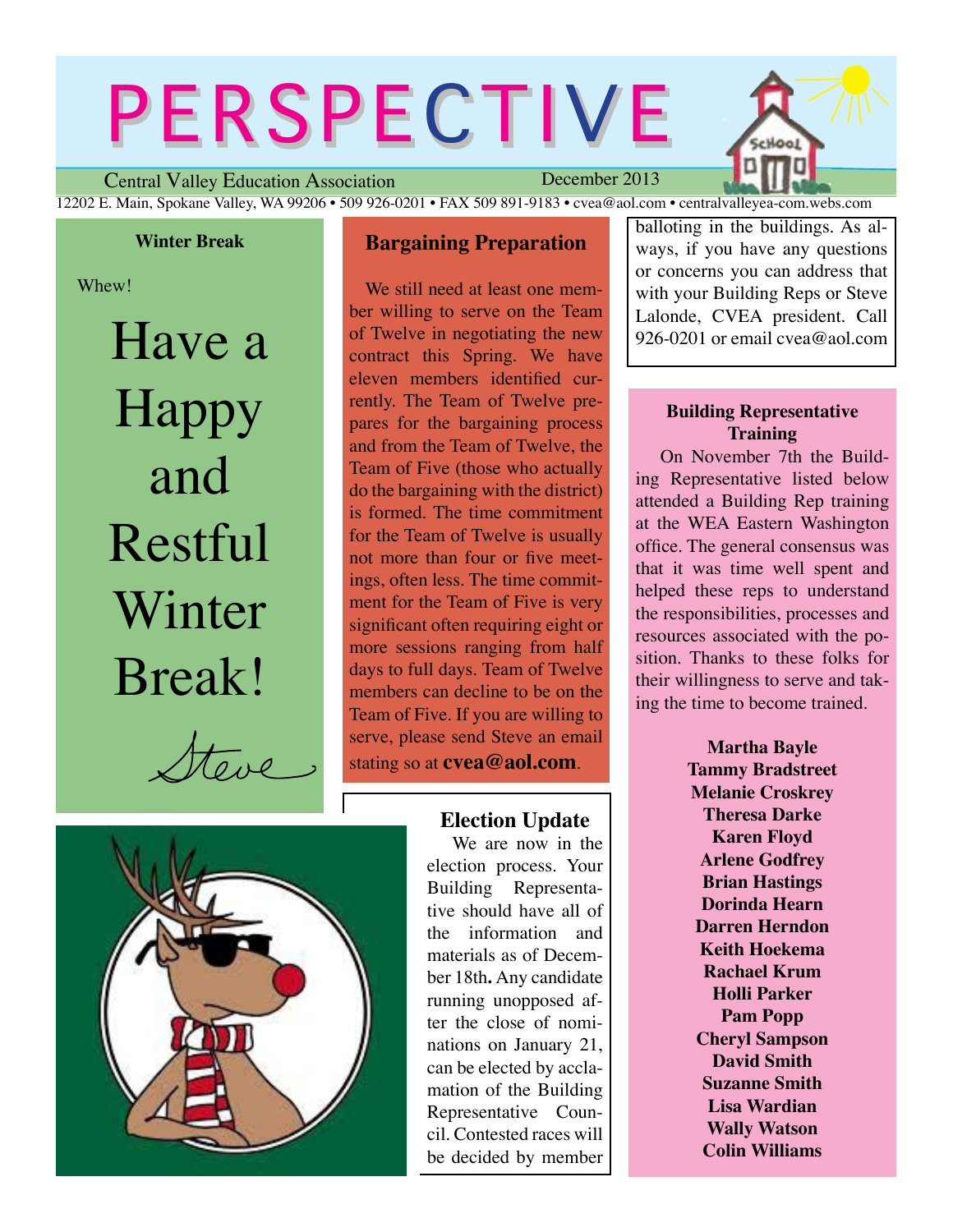# PERSPECTIVE



Central Valley Education Association December 2013 12202 E. Main, Spokane Valley, WA 99206 • 509 926-0201 • FAX 509 891-9183 • cvea@aol.com • centralvalleyea-com.webs.com

#### **Winter Break**

Whew!

Have a Happy and Restful Winter Break!

 $\pi_{\alpha}$ 

#### **Bargaining Preparation**

We still need at least one member willing to serve on the Team of Twelve in negotiating the new contract this Spring. We have eleven members identified currently. The Team of Twelve prepares for the bargaining process and from the Team of Twelve, the Team of Five (those who actually do the bargaining with the district) is formed. The time commitment for the Team of Twelve is usually not more than four or five meetings, often less. The time commitment for the Team of Five is very significant often requiring eight or more sessions ranging from half days to full days. Team of Twelve members can decline to be on the Team of Five. If you are willing to serve, please send Steve an email stating so at **cvea@aol.com**.

#### **Election Update**

We are now in the election process. Your Building Representative should have all of the information and materials as of December 18th**.** Any candidate running unopposed after the close of nominations on January 21, can be elected by acclamation of the Building Representative Council. Contested races will be decided by member

balloting in the buildings. As always, if you have any questions or concerns you can address that with your Building Reps or Steve Lalonde, CVEA president. Call 926-0201 or email cyea@aol.com

#### **Building Representative Training**

On November 7th the Building Representative listed below attended a Building Rep training at the WEA Eastern Washington office. The general consensus was that it was time well spent and helped these reps to understand the responsibilities, processes and resources associated with the position. Thanks to these folks for their willingness to serve and taking the time to become trained.

> **Martha Bayle Tammy Bradstreet Melanie Croskrey Theresa Darke Karen Floyd Arlene Godfrey Brian Hastings Dorinda Hearn Darren Herndon Keith Hoekema Rachael Krum Holli Parker Pam Popp Cheryl Sampson David Smith Suzanne Smith Lisa Wardian Wally Watson Colin Williams**

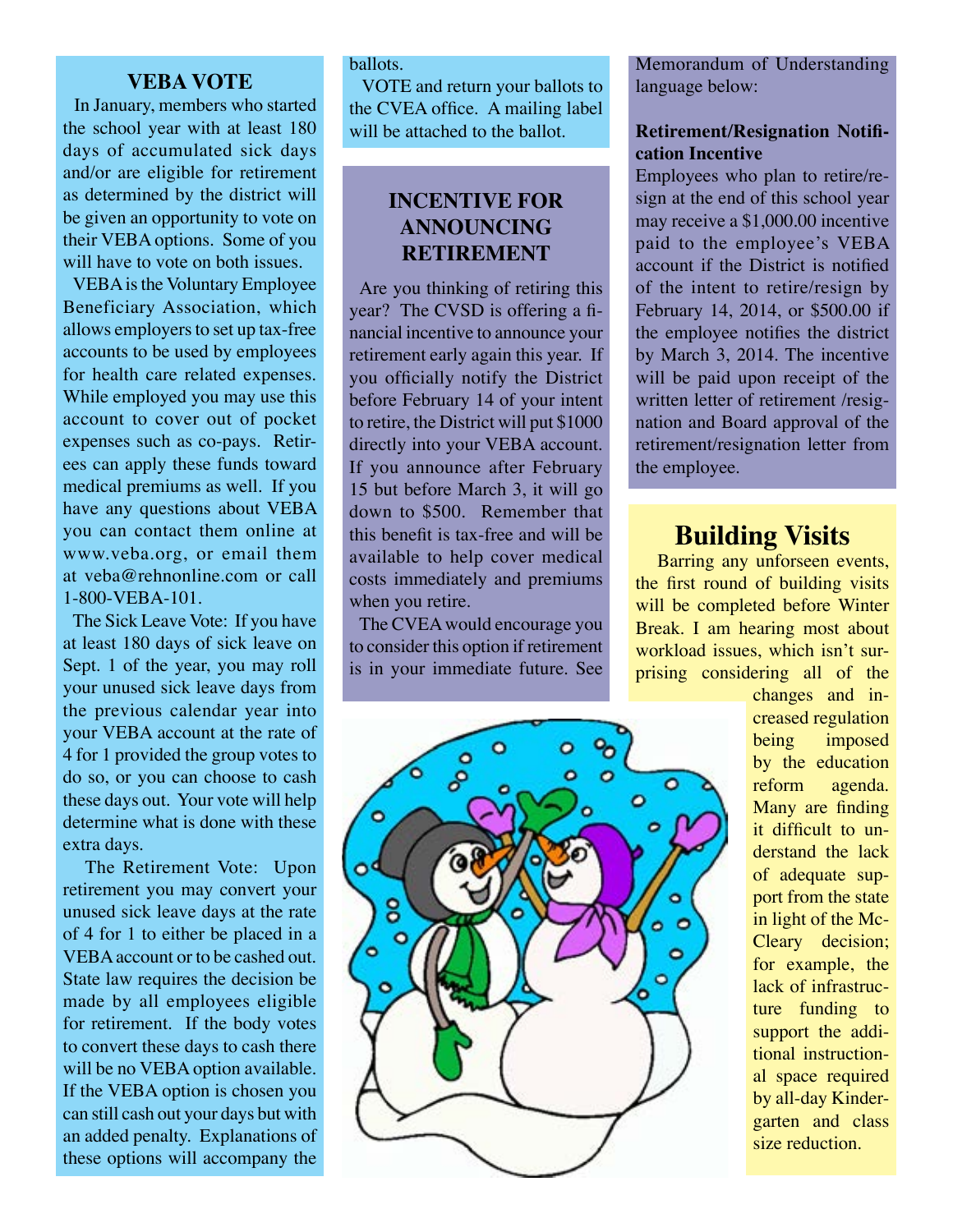#### **VEBA VOTE**

 In January, members who started the school year with at least 180 days of accumulated sick days and/or are eligible for retirement as determined by the district will be given an opportunity to vote on their VEBA options. Some of you will have to vote on both issues.

 VEBA is the Voluntary Employee Beneficiary Association, which allows employers to set up tax-free accounts to be used by employees for health care related expenses. While employed you may use this account to cover out of pocket expenses such as co-pays. Retirees can apply these funds toward medical premiums as well. If you have any questions about VEBA you can contact them online at www.veba.org, or email them at veba@rehnonline.com or call 1-800-VEBA-101.

 The Sick Leave Vote: If you have at least 180 days of sick leave on Sept. 1 of the year, you may roll your unused sick leave days from the previous calendar year into your VEBA account at the rate of 4 for 1 provided the group votes to do so, or you can choose to cash these days out. Your vote will help determine what is done with these extra days.

 The Retirement Vote: Upon retirement you may convert your unused sick leave days at the rate of 4 for 1 to either be placed in a VEBA account or to be cashed out. State law requires the decision be made by all employees eligible for retirement. If the body votes to convert these days to cash there will be no VEBA option available. If the VEBA option is chosen you can still cash out your days but with an added penalty. Explanations of these options will accompany the

#### ballots.

 VOTE and return your ballots to the CVEA office. A mailing label will be attached to the ballot.

#### **INCENTIVE FOR ANNOUNCING RETIREMENT**

 Are you thinking of retiring this year? The CVSD is offering a financial incentive to announce your retirement early again this year. If you officially notify the District before February 14 of your intent to retire, the District will put \$1000 directly into your VEBA account. If you announce after February 15 but before March 3, it will go down to \$500. Remember that this benefit is tax-free and will be available to help cover medical costs immediately and premiums when you retire.

 The CVEA would encourage you to consider this option if retirement is in your immediate future. See



Memorandum of Understanding language below:

#### **Retirement/Resignation Notification Incentive**

Employees who plan to retire/resign at the end of this school year may receive a \$1,000.00 incentive paid to the employee's VEBA account if the District is notified of the intent to retire/resign by February 14, 2014, or \$500.00 if the employee notifies the district by March 3, 2014. The incentive will be paid upon receipt of the written letter of retirement /resignation and Board approval of the retirement/resignation letter from the employee.

## **Building Visits**<br>**Barring any unforseen events,**

the first round of building visits will be completed before Winter Break. I am hearing most about workload issues, which isn't surprising considering all of the

> changes and increased regulation being imposed by the education reform agenda. Many are finding it difficult to understand the lack of adequate support from the state in light of the Mc-Cleary decision; for example, the lack of infrastructure funding to support the additional instructional space required by all-day Kindergarten and class size reduction.